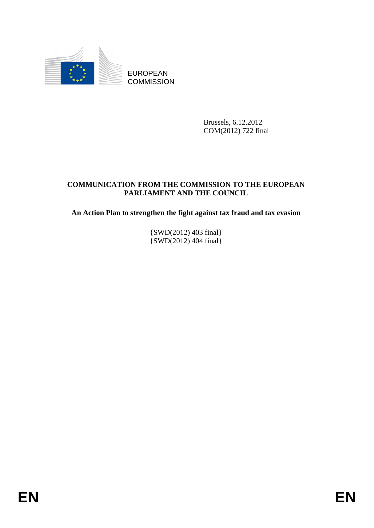

EUROPEAN **COMMISSION** 

> Brussels, 6.12.2012 COM(2012) 722 final

### **COMMUNICATION FROM THE COMMISSION TO THE EUROPEAN PARLIAMENT AND THE COUNCIL**

**An Action Plan to strengthen the fight against tax fraud and tax evasion** 

{SWD(2012) 403 final}  $\{SWD(2012)$  404 final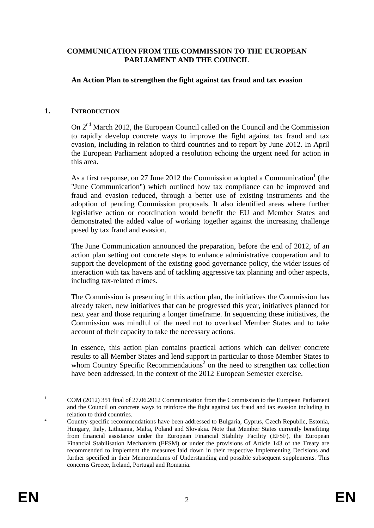#### **COMMUNICATION FROM THE COMMISSION TO THE EUROPEAN PARLIAMENT AND THE COUNCIL**

#### **An Action Plan to strengthen the fight against tax fraud and tax evasion**

#### **1. INTRODUCTION**

On  $2<sup>nd</sup>$  March 2012, the European Council called on the Council and the Commission to rapidly develop concrete ways to improve the fight against tax fraud and tax evasion, including in relation to third countries and to report by June 2012. In April the European Parliament adopted a resolution echoing the urgent need for action in this area.

As a first response, on 27 June 2012 the Commission adopted a Communication<sup>1</sup> (the "June Communication") which outlined how tax compliance can be improved and fraud and evasion reduced, through a better use of existing instruments and the adoption of pending Commission proposals. It also identified areas where further legislative action or coordination would benefit the EU and Member States and demonstrated the added value of working together against the increasing challenge posed by tax fraud and evasion.

The June Communication announced the preparation, before the end of 2012, of an action plan setting out concrete steps to enhance administrative cooperation and to support the development of the existing good governance policy, the wider issues of interaction with tax havens and of tackling aggressive tax planning and other aspects, including tax-related crimes.

The Commission is presenting in this action plan, the initiatives the Commission has already taken, new initiatives that can be progressed this year, initiatives planned for next year and those requiring a longer timeframe. In sequencing these initiatives, the Commission was mindful of the need not to overload Member States and to take account of their capacity to take the necessary actions.

In essence, this action plan contains practical actions which can deliver concrete results to all Member States and lend support in particular to those Member States to whom Country Specific Recommendations<sup>2</sup> on the need to strengthen tax collection have been addressed, in the context of the 2012 European Semester exercise.

 $\frac{1}{1}$  COM (2012) 351 final of 27.06.2012 Communication from the Commission to the European Parliament and the Council on concrete ways to reinforce the fight against tax fraud and tax evasion including in relation to third countries.

Country-specific recommendations have been addressed to Bulgaria, Cyprus, Czech Republic, Estonia, Hungary, Italy, Lithuania, Malta, Poland and Slovakia. Note that Member States currently benefiting from financial assistance under the European Financial Stability Facility (EFSF), the European Financial Stabilisation Mechanism (EFSM) or under the provisions of Article 143 of the Treaty are recommended to implement the measures laid down in their respective Implementing Decisions and further specified in their Memorandums of Understanding and possible subsequent supplements. This concerns Greece, Ireland, Portugal and Romania.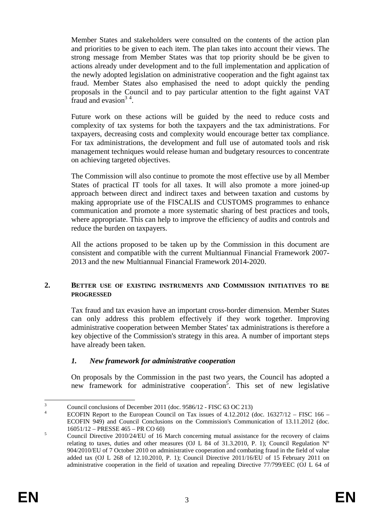Member States and stakeholders were consulted on the contents of the action plan and priorities to be given to each item. The plan takes into account their views. The strong message from Member States was that top priority should be be given to actions already under development and to the full implementation and application of the newly adopted legislation on administrative cooperation and the fight against tax fraud. Member States also emphasised the need to adopt quickly the pending proposals in the Council and to pay particular attention to the fight against VAT fraud and evasion<sup>34</sup>.

Future work on these actions will be guided by the need to reduce costs and complexity of tax systems for both the taxpayers and the tax administrations. For taxpayers, decreasing costs and complexity would encourage better tax compliance. For tax administrations, the development and full use of automated tools and risk management techniques would release human and budgetary resources to concentrate on achieving targeted objectives.

The Commission will also continue to promote the most effective use by all Member States of practical IT tools for all taxes. It will also promote a more joined-up approach between direct and indirect taxes and between taxation and customs by making appropriate use of the FISCALIS and CUSTOMS programmes to enhance communication and promote a more systematic sharing of best practices and tools, where appropriate. This can help to improve the efficiency of audits and controls and reduce the burden on taxpayers.

All the actions proposed to be taken up by the Commission in this document are consistent and compatible with the current Multiannual Financial Framework 2007- 2013 and the new Multiannual Financial Framework 2014-2020.

#### **2. BETTER USE OF EXISTING INSTRUMENTS AND COMMISSION INITIATIVES TO BE PROGRESSED**

Tax fraud and tax evasion have an important cross-border dimension. Member States can only address this problem effectively if they work together. Improving administrative cooperation between Member States' tax administrations is therefore a key objective of the Commission's strategy in this area. A number of important steps have already been taken.

### *1. New framework for administrative cooperation*

On proposals by the Commission in the past two years, the Council has adopted a new framework for administrative cooperation<sup>5</sup>. This set of new legislative

 $\frac{1}{3}$ Council conclusions of December 2011 (doc. 9586/12 - FISC 63 OC 213)

<sup>4</sup> ECOFIN Report to the European Council on Tax issues of 4.12.2012 (doc. 16327/12 – FISC 166 – ECOFIN 949) and Council Conclusions on the Commission's Communication of 13.11.2012 (doc.  $16051/12 - \text{PRESSE } 465 - \text{PR CO } 60$ 

Council Directive 2010/24/EU of 16 March concerning mutual assistance for the recovery of claims relating to taxes, duties and other measures (OJ L 84 of 31.3.2010, P. 1); Council Regulation  $N^{\circ}$ 904/2010/EU of 7 October 2010 on administrative cooperation and combating fraud in the field of value added tax (OJ L 268 of 12.10.2010, P. 1); Council Directive 2011/16/EU of 15 February 2011 on administrative cooperation in the field of taxation and repealing Directive 77/799/EEC (OJ L 64 of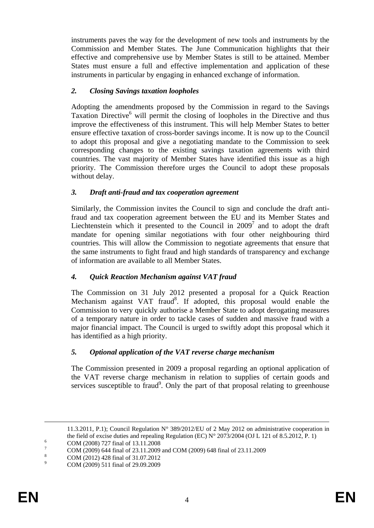instruments paves the way for the development of new tools and instruments by the Commission and Member States. The June Communication highlights that their effective and comprehensive use by Member States is still to be attained. Member States must ensure a full and effective implementation and application of these instruments in particular by engaging in enhanced exchange of information.

### *2. Closing Savings taxation loopholes*

Adopting the amendments proposed by the Commission in regard to the Savings Taxation Directive<sup>6</sup> will permit the closing of loopholes in the Directive and thus improve the effectiveness of this instrument. This will help Member States to better ensure effective taxation of cross-border savings income. It is now up to the Council to adopt this proposal and give a negotiating mandate to the Commission to seek corresponding changes to the existing savings taxation agreements with third countries. The vast majority of Member States have identified this issue as a high priority. The Commission therefore urges the Council to adopt these proposals without delay.

#### *3. Draft anti-fraud and tax cooperation agreement*

Similarly, the Commission invites the Council to sign and conclude the draft antifraud and tax cooperation agreement between the EU and its Member States and Liechtenstein which it presented to the Council in  $2009<sup>7</sup>$  and to adopt the draft mandate for opening similar negotiations with four other neighbouring third countries. This will allow the Commission to negotiate agreements that ensure that the same instruments to fight fraud and high standards of transparency and exchange of information are available to all Member States.

### *4. Quick Reaction Mechanism against VAT fraud*

The Commission on 31 July 2012 presented a proposal for a Quick Reaction Mechanism against VAT fraud<sup>8</sup>. If adopted, this proposal would enable the Commission to very quickly authorise a Member State to adopt derogating measures of a temporary nature in order to tackle cases of sudden and massive fraud with a major financial impact. The Council is urged to swiftly adopt this proposal which it has identified as a high priority.

#### *5. Optional application of the VAT reverse charge mechanism*

The Commission presented in 2009 a proposal regarding an optional application of the VAT reverse charge mechanism in relation to supplies of certain goods and services susceptible to fraud<sup>9</sup>. Only the part of that proposal relating to greenhouse

 <sup>11.3.2011,</sup> P.1); Council Regulation N° 389/2012/EU of 2 May 2012 on administrative cooperation in the field of excise duties and repealing Regulation (EC)  $N^{\circ}$  2073/2004 (OJ L 121 of 8.5.2012, P. 1) COM (2008) 727 final of 13.11.2008

<sup>7</sup>

COM (2009) 644 final of 23.11.2009 and COM (2009) 648 final of 23.11.2009 8

COM (2012) 428 final of 31.07.2012 9 COM (2009) 511 final of 29.09.2009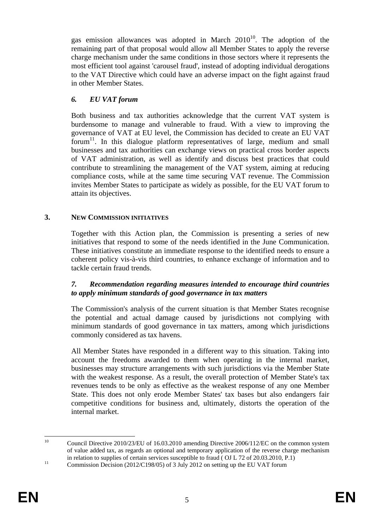gas emission allowances was adopted in March  $2010^{10}$ . The adoption of the remaining part of that proposal would allow all Member States to apply the reverse charge mechanism under the same conditions in those sectors where it represents the most efficient tool against 'carousel fraud', instead of adopting individual derogations to the VAT Directive which could have an adverse impact on the fight against fraud in other Member States.

### *6. EU VAT forum*

Both business and tax authorities acknowledge that the current VAT system is burdensome to manage and vulnerable to fraud. With a view to improving the governance of VAT at EU level, the Commission has decided to create an EU VAT forum<sup>11</sup>. In this dialogue platform representatives of large, medium and small businesses and tax authorities can exchange views on practical cross border aspects of VAT administration, as well as identify and discuss best practices that could contribute to streamlining the management of the VAT system, aiming at reducing compliance costs, while at the same time securing VAT revenue. The Commission invites Member States to participate as widely as possible, for the EU VAT forum to attain its objectives.

## **3. NEW COMMISSION INITIATIVES**

Together with this Action plan, the Commission is presenting a series of new initiatives that respond to some of the needs identified in the June Communication. These initiatives constitute an immediate response to the identified needs to ensure a coherent policy vis-à-vis third countries, to enhance exchange of information and to tackle certain fraud trends.

### *7. Recommendation regarding measures intended to encourage third countries to apply minimum standards of good governance in tax matters*

The Commission's analysis of the current situation is that Member States recognise the potential and actual damage caused by jurisdictions not complying with minimum standards of good governance in tax matters, among which jurisdictions commonly considered as tax havens.

All Member States have responded in a different way to this situation. Taking into account the freedoms awarded to them when operating in the internal market, businesses may structure arrangements with such jurisdictions via the Member State with the weakest response. As a result, the overall protection of Member State's tax revenues tends to be only as effective as the weakest response of any one Member State. This does not only erode Member States' tax bases but also endangers fair competitive conditions for business and, ultimately, distorts the operation of the internal market.

 $10<sup>1</sup>$ 10 Council Directive 2010/23/EU of 16.03.2010 amending Directive 2006/112/EC on the common system of value added tax, as regards an optional and temporary application of the reverse charge mechanism in relation to supplies of certain services susceptible to fraud ( OJ L 72 of 20.03.2010, P.1)<br>Commission Decision (2012/C198/05) of 3 July 2012 on setting up the EU VAT forum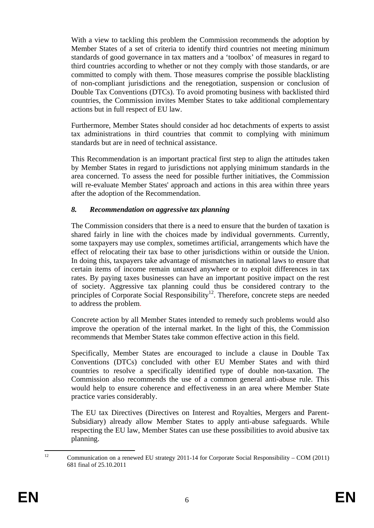With a view to tackling this problem the Commission recommends the adoption by Member States of a set of criteria to identify third countries not meeting minimum standards of good governance in tax matters and a 'toolbox' of measures in regard to third countries according to whether or not they comply with those standards, or are committed to comply with them. Those measures comprise the possible blacklisting of non-compliant jurisdictions and the renegotiation, suspension or conclusion of Double Tax Conventions (DTCs). To avoid promoting business with backlisted third countries, the Commission invites Member States to take additional complementary actions but in full respect of EU law.

Furthermore, Member States should consider ad hoc detachments of experts to assist tax administrations in third countries that commit to complying with minimum standards but are in need of technical assistance.

This Recommendation is an important practical first step to align the attitudes taken by Member States in regard to jurisdictions not applying minimum standards in the area concerned. To assess the need for possible further initiatives, the Commission will re-evaluate Member States' approach and actions in this area within three years after the adoption of the Recommendation.

#### *8. Recommendation on aggressive tax planning*

The Commission considers that there is a need to ensure that the burden of taxation is shared fairly in line with the choices made by individual governments. Currently, some taxpayers may use complex, sometimes artificial, arrangements which have the effect of relocating their tax base to other jurisdictions within or outside the Union. In doing this, taxpayers take advantage of mismatches in national laws to ensure that certain items of income remain untaxed anywhere or to exploit differences in tax rates. By paying taxes businesses can have an important positive impact on the rest of society. Aggressive tax planning could thus be considered contrary to the principles of Corporate Social Responsibility<sup>12</sup>. Therefore, concrete steps are needed to address the problem.

Concrete action by all Member States intended to remedy such problems would also improve the operation of the internal market. In the light of this, the Commission recommends that Member States take common effective action in this field.

Specifically, Member States are encouraged to include a clause in Double Tax Conventions (DTCs) concluded with other EU Member States and with third countries to resolve a specifically identified type of double non-taxation. The Commission also recommends the use of a common general anti-abuse rule. This would help to ensure coherence and effectiveness in an area where Member State practice varies considerably.

The EU tax Directives (Directives on Interest and Royalties, Mergers and Parent-Subsidiary) already allow Member States to apply anti-abuse safeguards. While respecting the EU law, Member States can use these possibilities to avoid abusive tax planning.

 $12$ 12 Communication on a renewed EU strategy 2011-14 for Corporate Social Responsibility – COM (2011) 681 final of 25.10.2011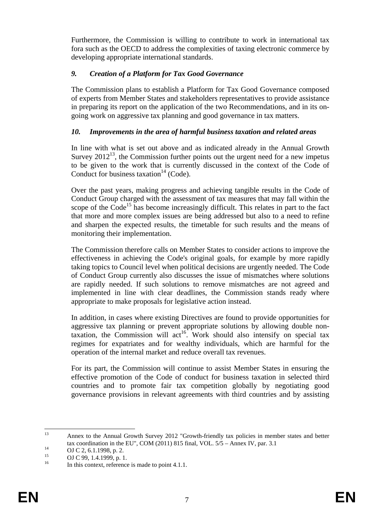Furthermore, the Commission is willing to contribute to work in international tax fora such as the OECD to address the complexities of taxing electronic commerce by developing appropriate international standards.

## *9. Creation of a Platform for Tax Good Governance*

The Commission plans to establish a Platform for Tax Good Governance composed of experts from Member States and stakeholders representatives to provide assistance in preparing its report on the application of the two Recommendations, and in its ongoing work on aggressive tax planning and good governance in tax matters.

### *10. Improvements in the area of harmful business taxation and related areas*

In line with what is set out above and as indicated already in the Annual Growth Survey  $2012<sup>13</sup>$ , the Commission further points out the urgent need for a new impetus to be given to the work that is currently discussed in the context of the Code of Conduct for business taxation<sup>14</sup> (Code).

Over the past years, making progress and achieving tangible results in the Code of Conduct Group charged with the assessment of tax measures that may fall within the scope of the  $Code<sup>15</sup>$  has become increasingly difficult. This relates in part to the fact that more and more complex issues are being addressed but also to a need to refine and sharpen the expected results, the timetable for such results and the means of monitoring their implementation.

The Commission therefore calls on Member States to consider actions to improve the effectiveness in achieving the Code's original goals, for example by more rapidly taking topics to Council level when political decisions are urgently needed. The Code of Conduct Group currently also discusses the issue of mismatches where solutions are rapidly needed. If such solutions to remove mismatches are not agreed and implemented in line with clear deadlines, the Commission stands ready where appropriate to make proposals for legislative action instead.

In addition, in cases where existing Directives are found to provide opportunities for aggressive tax planning or prevent appropriate solutions by allowing double nontaxation, the Commission will act<sup>16</sup>. Work should also intensify on special tax regimes for expatriates and for wealthy individuals, which are harmful for the operation of the internal market and reduce overall tax revenues.

For its part, the Commission will continue to assist Member States in ensuring the effective promotion of the Code of conduct for business taxation in selected third countries and to promote fair tax competition globally by negotiating good governance provisions in relevant agreements with third countries and by assisting

 $13$ 13 Annex to the Annual Growth Survey 2012 "Growth-friendly tax policies in member states and better tax coordination in the EU", COM (2011) 815 final, VOL.  $5/5$  – Annex IV, par. 3.1<br>
OJ C 2, 6.1.1998, p. 2.<br>
OJ C 00, 1.4.1000, p. 1

<sup>&</sup>lt;sup>15</sup> OJ C 99, 1.4.1999, p. 1.

In this context, reference is made to point  $4.1.1$ .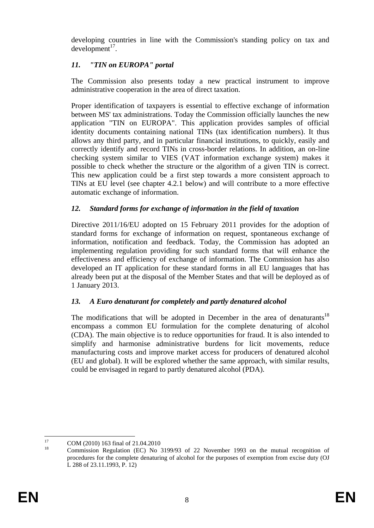developing countries in line with the Commission's standing policy on tax and  $d$ evelopment $17$ .

# *11. "TIN on EUROPA" portal*

The Commission also presents today a new practical instrument to improve administrative cooperation in the area of direct taxation.

Proper identification of taxpayers is essential to effective exchange of information between MS' tax administrations. Today the Commission officially launches the new application "TIN on EUROPA". This application provides samples of official identity documents containing national TINs (tax identification numbers). It thus allows any third party, and in particular financial institutions, to quickly, easily and correctly identify and record TINs in cross-border relations. In addition, an on-line checking system similar to VIES (VAT information exchange system) makes it possible to check whether the structure or the algorithm of a given TIN is correct. This new application could be a first step towards a more consistent approach to TINs at EU level (see chapter 4.2.1 below) and will contribute to a more effective automatic exchange of information.

## *12. Standard forms for exchange of information in the field of taxation*

Directive 2011/16/EU adopted on 15 February 2011 provides for the adoption of standard forms for exchange of information on request, spontaneous exchange of information, notification and feedback. Today, the Commission has adopted an implementing regulation providing for such standard forms that will enhance the effectiveness and efficiency of exchange of information. The Commission has also developed an IT application for these standard forms in all EU languages that has already been put at the disposal of the Member States and that will be deployed as of 1 January 2013.

## *13. A Euro denaturant for completely and partly denatured alcohol*

The modifications that will be adopted in December in the area of denaturants<sup>18</sup> encompass a common EU formulation for the complete denaturing of alcohol (CDA). The main objective is to reduce opportunities for fraud. It is also intended to simplify and harmonise administrative burdens for licit movements, reduce manufacturing costs and improve market access for producers of denatured alcohol (EU and global). It will be explored whether the same approach, with similar results, could be envisaged in regard to partly denatured alcohol (PDA).

 $17$  $^{17}$  COM (2010) 163 final of 21.04.2010

<sup>18</sup> Commission Regulation (EC) No 3199/93 of 22 November 1993 on the mutual recognition of procedures for the complete denaturing of alcohol for the purposes of exemption from excise duty (OJ L 288 of 23.11.1993, P. 12)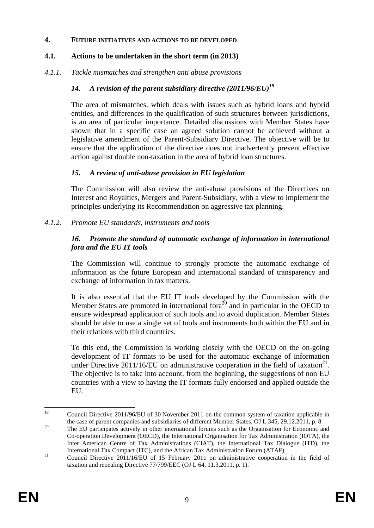#### **4. FUTURE INITIATIVES AND ACTIONS TO BE DEVELOPED**

## **4.1. Actions to be undertaken in the short term (in 2013)**

## *4.1.1. Tackle mismatches and strengthen anti abuse provisions*

## *14. A revision of the parent subsidiary directive (2011/96/EU)19*

The area of mismatches, which deals with issues such as hybrid loans and hybrid entities, and differences in the qualification of such structures between jurisdictions, is an area of particular importance. Detailed discussions with Member States have shown that in a specific case an agreed solution cannot be achieved without a legislative amendment of the Parent-Subsidiary Directive. The objective will be to ensure that the application of the directive does not inadvertently prevent effective action against double non-taxation in the area of hybrid loan structures.

### *15. A review of anti-abuse provision in EU legislation*

The Commission will also review the anti-abuse provisions of the Directives on Interest and Royalties, Mergers and Parent-Subsidiary, with a view to implement the principles underlying its Recommendation on aggressive tax planning.

### *4.1.2. Promote EU standards, instruments and tools*

### *16. Promote the standard of automatic exchange of information in international fora and the EU IT tools*

The Commission will continue to strongly promote the automatic exchange of information as the future European and international standard of transparency and exchange of information in tax matters.

It is also essential that the EU IT tools developed by the Commission with the Member States are promoted in international fora<sup>20</sup> and in particular in the OECD to ensure widespread application of such tools and to avoid duplication. Member States should be able to use a single set of tools and instruments both within the EU and in their relations with third countries.

To this end, the Commission is working closely with the OECD on the on-going development of IT formats to be used for the automatic exchange of information under Directive 2011/16/EU on administrative cooperation in the field of taxation<sup>21</sup>. The objective is to take into account, from the beginning, the suggestions of non EU countries with a view to having the IT formats fully endorsed and applied outside the EU.

 $19$ 19 Council Directive 2011/96/EU of 30 November 2011 on the common system of taxation applicable in the case of parent companies and subsidiaries of different Member States, OJ L 345, 29.12.2011, p. 8<br>The EU participates actively in other international forums such as the Organisation for Economic and

Co-operation Development (OECD), the International Organisation for Tax Administration (IOTA), the Inter American Centre of Tax Administrations (CIAT), the International Tax Dialogue (ITD), the International Tax Compact (ITC), and the African Tax Administration Forum (ATAF)<br><sup>21</sup> Council Directive 2011/16/EU of 15 February 2011 on administrative cooperation in the field of

taxation and repealing Directive 77/799/EEC (OJ L 64, 11.3.2011, p. 1).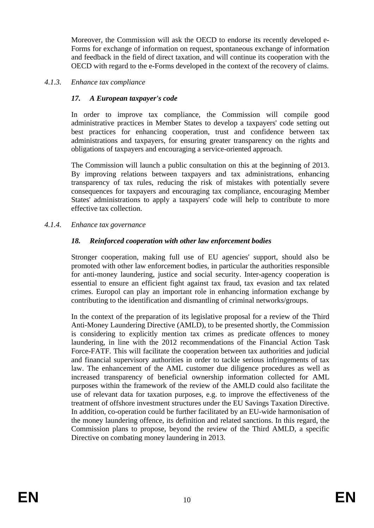Moreover, the Commission will ask the OECD to endorse its recently developed e-Forms for exchange of information on request, spontaneous exchange of information and feedback in the field of direct taxation, and will continue its cooperation with the OECD with regard to the e-Forms developed in the context of the recovery of claims.

#### *4.1.3. Enhance tax compliance*

### *17. A European taxpayer's code*

In order to improve tax compliance, the Commission will compile good administrative practices in Member States to develop a taxpayers' code setting out best practices for enhancing cooperation, trust and confidence between tax administrations and taxpayers, for ensuring greater transparency on the rights and obligations of taxpayers and encouraging a service-oriented approach.

The Commission will launch a public consultation on this at the beginning of 2013. By improving relations between taxpayers and tax administrations, enhancing transparency of tax rules, reducing the risk of mistakes with potentially severe consequences for taxpayers and encouraging tax compliance, encouraging Member States' administrations to apply a taxpayers' code will help to contribute to more effective tax collection.

#### *4.1.4. Enhance tax governance*

#### *18. Reinforced cooperation with other law enforcement bodies*

Stronger cooperation, making full use of EU agencies' support, should also be promoted with other law enforcement bodies, in particular the authorities responsible for anti-money laundering, justice and social security. Inter-agency cooperation is essential to ensure an efficient fight against tax fraud, tax evasion and tax related crimes. Europol can play an important role in enhancing information exchange by contributing to the identification and dismantling of criminal networks/groups.

In the context of the preparation of its legislative proposal for a review of the Third Anti-Money Laundering Directive (AMLD), to be presented shortly, the Commission is considering to explicitly mention tax crimes as predicate offences to money laundering, in line with the 2012 recommendations of the Financial Action Task Force-FATF. This will facilitate the cooperation between tax authorities and judicial and financial supervisory authorities in order to tackle serious infringements of tax law. The enhancement of the AML customer due diligence procedures as well as increased transparency of beneficial ownership information collected for AML purposes within the framework of the review of the AMLD could also facilitate the use of relevant data for taxation purposes, e.g. to improve the effectiveness of the treatment of offshore investment structures under the EU Savings Taxation Directive. In addition, co-operation could be further facilitated by an EU-wide harmonisation of the money laundering offence, its definition and related sanctions. In this regard, the Commission plans to propose, beyond the review of the Third AMLD, a specific Directive on combating money laundering in 2013.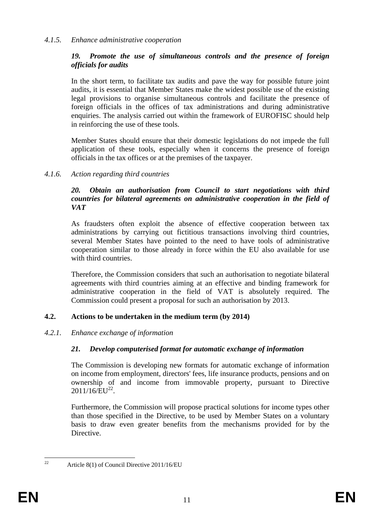### *4.1.5. Enhance administrative cooperation*

#### *19. Promote the use of simultaneous controls and the presence of foreign officials for audits*

In the short term, to facilitate tax audits and pave the way for possible future joint audits, it is essential that Member States make the widest possible use of the existing legal provisions to organise simultaneous controls and facilitate the presence of foreign officials in the offices of tax administrations and during administrative enquiries. The analysis carried out within the framework of EUROFISC should help in reinforcing the use of these tools.

Member States should ensure that their domestic legislations do not impede the full application of these tools, especially when it concerns the presence of foreign officials in the tax offices or at the premises of the taxpayer.

#### *4.1.6. Action regarding third countries*

#### *20. Obtain an authorisation from Council to start negotiations with third countries for bilateral agreements on administrative cooperation in the field of VAT*

As fraudsters often exploit the absence of effective cooperation between tax administrations by carrying out fictitious transactions involving third countries, several Member States have pointed to the need to have tools of administrative cooperation similar to those already in force within the EU also available for use with third countries.

Therefore, the Commission considers that such an authorisation to negotiate bilateral agreements with third countries aiming at an effective and binding framework for administrative cooperation in the field of VAT is absolutely required. The Commission could present a proposal for such an authorisation by 2013.

### **4.2. Actions to be undertaken in the medium term (by 2014)**

#### *4.2.1. Enhance exchange of information*

### *21. Develop computerised format for automatic exchange of information*

The Commission is developing new formats for automatic exchange of information on income from employment, directors' fees, life insurance products, pensions and on ownership of and income from immovable property, pursuant to Directive  $2011/16/EU^{22}$ .

Furthermore, the Commission will propose practical solutions for income types other than those specified in the Directive, to be used by Member States on a voluntary basis to draw even greater benefits from the mechanisms provided for by the Directive.

 $22$ 

<sup>22</sup> Article 8(1) of Council Directive 2011/16/EU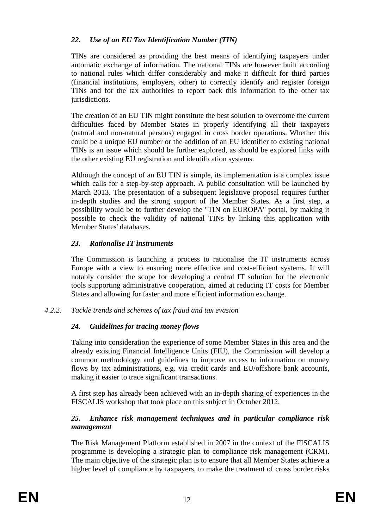## *22. Use of an EU Tax Identification Number (TIN)*

TINs are considered as providing the best means of identifying taxpayers under automatic exchange of information. The national TINs are however built according to national rules which differ considerably and make it difficult for third parties (financial institutions, employers, other) to correctly identify and register foreign TINs and for the tax authorities to report back this information to the other tax jurisdictions.

The creation of an EU TIN might constitute the best solution to overcome the current difficulties faced by Member States in properly identifying all their taxpayers (natural and non-natural persons) engaged in cross border operations. Whether this could be a unique EU number or the addition of an EU identifier to existing national TINs is an issue which should be further explored, as should be explored links with the other existing EU registration and identification systems.

Although the concept of an EU TIN is simple, its implementation is a complex issue which calls for a step-by-step approach. A public consultation will be launched by March 2013. The presentation of a subsequent legislative proposal requires further in-depth studies and the strong support of the Member States. As a first step, a possibility would be to further develop the "TIN on EUROPA" portal, by making it possible to check the validity of national TINs by linking this application with Member States' databases.

### *23. Rationalise IT instruments*

The Commission is launching a process to rationalise the IT instruments across Europe with a view to ensuring more effective and cost-efficient systems. It will notably consider the scope for developing a central IT solution for the electronic tools supporting administrative cooperation, aimed at reducing IT costs for Member States and allowing for faster and more efficient information exchange.

### *4.2.2. Tackle trends and schemes of tax fraud and tax evasion*

### *24. Guidelines for tracing money flows*

Taking into consideration the experience of some Member States in this area and the already existing Financial Intelligence Units (FIU), the Commission will develop a common methodology and guidelines to improve access to information on money flows by tax administrations, e.g. via credit cards and EU/offshore bank accounts, making it easier to trace significant transactions.

A first step has already been achieved with an in-depth sharing of experiences in the FISCALIS workshop that took place on this subject in October 2012.

### *25. Enhance risk management techniques and in particular compliance risk management*

The Risk Management Platform established in 2007 in the context of the FISCALIS programme is developing a strategic plan to compliance risk management (CRM). The main objective of the strategic plan is to ensure that all Member States achieve a higher level of compliance by taxpayers, to make the treatment of cross border risks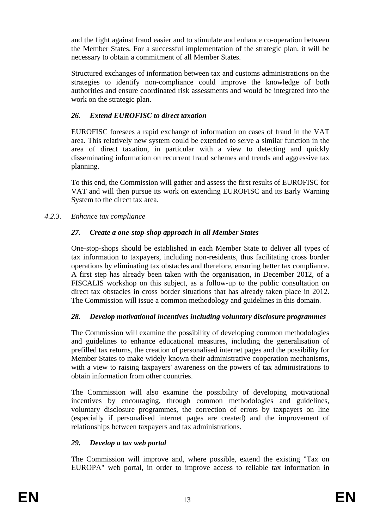and the fight against fraud easier and to stimulate and enhance co-operation between the Member States. For a successful implementation of the strategic plan, it will be necessary to obtain a commitment of all Member States.

Structured exchanges of information between tax and customs administrations on the strategies to identify non-compliance could improve the knowledge of both authorities and ensure coordinated risk assessments and would be integrated into the work on the strategic plan.

## *26. Extend EUROFISC to direct taxation*

EUROFISC foresees a rapid exchange of information on cases of fraud in the VAT area. This relatively new system could be extended to serve a similar function in the area of direct taxation, in particular with a view to detecting and quickly disseminating information on recurrent fraud schemes and trends and aggressive tax planning.

To this end, the Commission will gather and assess the first results of EUROFISC for VAT and will then pursue its work on extending EUROFISC and its Early Warning System to the direct tax area.

### *4.2.3. Enhance tax compliance*

### *27. Create a one-stop-shop approach in all Member States*

One-stop-shops should be established in each Member State to deliver all types of tax information to taxpayers, including non-residents, thus facilitating cross border operations by eliminating tax obstacles and therefore, ensuring better tax compliance. A first step has already been taken with the organisation, in December 2012, of a FISCALIS workshop on this subject, as a follow-up to the public consultation on direct tax obstacles in cross border situations that has already taken place in 2012. The Commission will issue a common methodology and guidelines in this domain.

### *28. Develop motivational incentives including voluntary disclosure programmes*

The Commission will examine the possibility of developing common methodologies and guidelines to enhance educational measures, including the generalisation of prefilled tax returns, the creation of personalised internet pages and the possibility for Member States to make widely known their administrative cooperation mechanisms, with a view to raising taxpayers' awareness on the powers of tax administrations to obtain information from other countries.

The Commission will also examine the possibility of developing motivational incentives by encouraging, through common methodologies and guidelines, voluntary disclosure programmes, the correction of errors by taxpayers on line (especially if personalised internet pages are created) and the improvement of relationships between taxpayers and tax administrations.

### *29. Develop a tax web portal*

The Commission will improve and, where possible, extend the existing "Tax on EUROPA" web portal, in order to improve access to reliable tax information in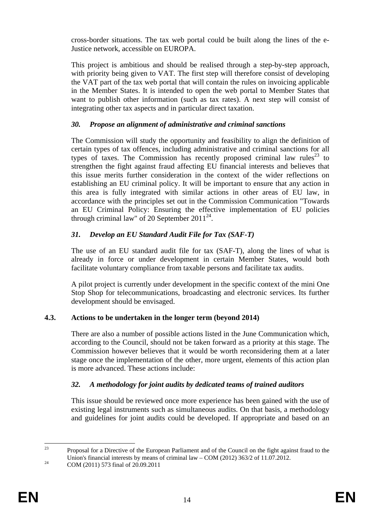cross-border situations. The tax web portal could be built along the lines of the e-Justice network, accessible on EUROPA.

This project is ambitious and should be realised through a step-by-step approach, with priority being given to VAT. The first step will therefore consist of developing the VAT part of the tax web portal that will contain the rules on invoicing applicable in the Member States. It is intended to open the web portal to Member States that want to publish other information (such as tax rates). A next step will consist of integrating other tax aspects and in particular direct taxation.

## *30. Propose an alignment of administrative and criminal sanctions*

The Commission will study the opportunity and feasibility to align the definition of certain types of tax offences, including administrative and criminal sanctions for all types of taxes. The Commission has recently proposed criminal law rules<sup>23</sup> to strengthen the fight against fraud affecting EU financial interests and believes that this issue merits further consideration in the context of the wider reflections on establishing an EU criminal policy. It will be important to ensure that any action in this area is fully integrated with similar actions in other areas of EU law, in accordance with the principles set out in the Commission Communication "Towards an EU Criminal Policy: Ensuring the effective implementation of EU policies through criminal law" of 20 September  $2011^{24}$ .

## *31. Develop an EU Standard Audit File for Tax (SAF-T)*

The use of an EU standard audit file for tax (SAF-T), along the lines of what is already in force or under development in certain Member States, would both facilitate voluntary compliance from taxable persons and facilitate tax audits.

A pilot project is currently under development in the specific context of the mini One Stop Shop for telecommunications, broadcasting and electronic services. Its further development should be envisaged.

## **4.3. Actions to be undertaken in the longer term (beyond 2014)**

There are also a number of possible actions listed in the June Communication which, according to the Council, should not be taken forward as a priority at this stage. The Commission however believes that it would be worth reconsidering them at a later stage once the implementation of the other, more urgent, elements of this action plan is more advanced. These actions include:

### *32. A methodology for joint audits by dedicated teams of trained auditors*

This issue should be reviewed once more experience has been gained with the use of existing legal instruments such as simultaneous audits. On that basis, a methodology and guidelines for joint audits could be developed. If appropriate and based on an

 $23$ 23 Proposal for a Directive of the European Parliament and of the Council on the fight against fraud to the Union's financial interests by means of criminal law – COM (2012) 363/2 of 11.07.2012.<br>COM (2011) 573 final of 20.09.2011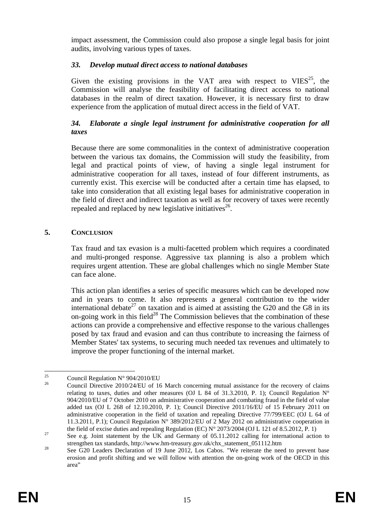impact assessment, the Commission could also propose a single legal basis for joint audits, involving various types of taxes.

### *33. Develop mutual direct access to national databases*

Given the existing provisions in the VAT area with respect to  $VIES^{25}$ , the Commission will analyse the feasibility of facilitating direct access to national databases in the realm of direct taxation. However, it is necessary first to draw experience from the application of mutual direct access in the field of VAT.

## *34. Elaborate a single legal instrument for administrative cooperation for all taxes*

Because there are some commonalities in the context of administrative cooperation between the various tax domains, the Commission will study the feasibility, from legal and practical points of view, of having a single legal instrument for administrative cooperation for all taxes, instead of four different instruments, as currently exist. This exercise will be conducted after a certain time has elapsed, to take into consideration that all existing legal bases for administrative cooperation in the field of direct and indirect taxation as well as for recovery of taxes were recently repealed and replaced by new legislative initiatives<sup>26</sup>.

## **5. CONCLUSION**

Tax fraud and tax evasion is a multi-facetted problem which requires a coordinated and multi-pronged response. Aggressive tax planning is also a problem which requires urgent attention. These are global challenges which no single Member State can face alone.

This action plan identifies a series of specific measures which can be developed now and in years to come. It also represents a general contribution to the wider international debate<sup>27</sup> on taxation and is aimed at assisting the G20 and the G8 in its on-going work in this field<sup>28</sup> The Commission believes that the combination of these actions can provide a comprehensive and effective response to the various challenges posed by tax fraud and evasion and can thus contribute to increasing the fairness of Member States' tax systems, to securing much needed tax revenues and ultimately to improve the proper functioning of the internal market.

 $25$ <sup>25</sup> Council Regulation N° 904/2010/EU<br> $\frac{26}{5}$  Conneil Direction 2010/24/EU of 12

<sup>26</sup> Council Directive 2010/24/EU of 16 March concerning mutual assistance for the recovery of claims relating to taxes, duties and other measures (OJ L 84 of 31.3.2010, P. 1); Council Regulation  $N^{\circ}$ 904/2010/EU of 7 October 2010 on administrative cooperation and combating fraud in the field of value added tax (OJ L 268 of 12.10.2010, P. 1); Council Directive 2011/16/EU of 15 February 2011 on administrative cooperation in the field of taxation and repealing Directive 77/799/EEC (OJ L 64 of 11.3.2011, P.1); Council Regulation N° 389/2012/EU of 2 May 2012 on administrative cooperation in

the field of excise duties and repealing Regulation (EC) N° 2073/2004 (OJ L 121 of 8.5.2012, P. 1)<br>
<sup>27</sup> See e.g. Joint statement by the UK and Germany of 05.11.2012 calling for international action to

strengthen tax standards, http://www.hm-treasury.gov.uk/chx\_statement\_051112.htm<br><sup>28</sup> See G20 Leaders Declaration of 19 June 2012, Los Cabos. "We reiterate the need to prevent base erosion and profit shifting and we will follow with attention the on-going work of the OECD in this area"